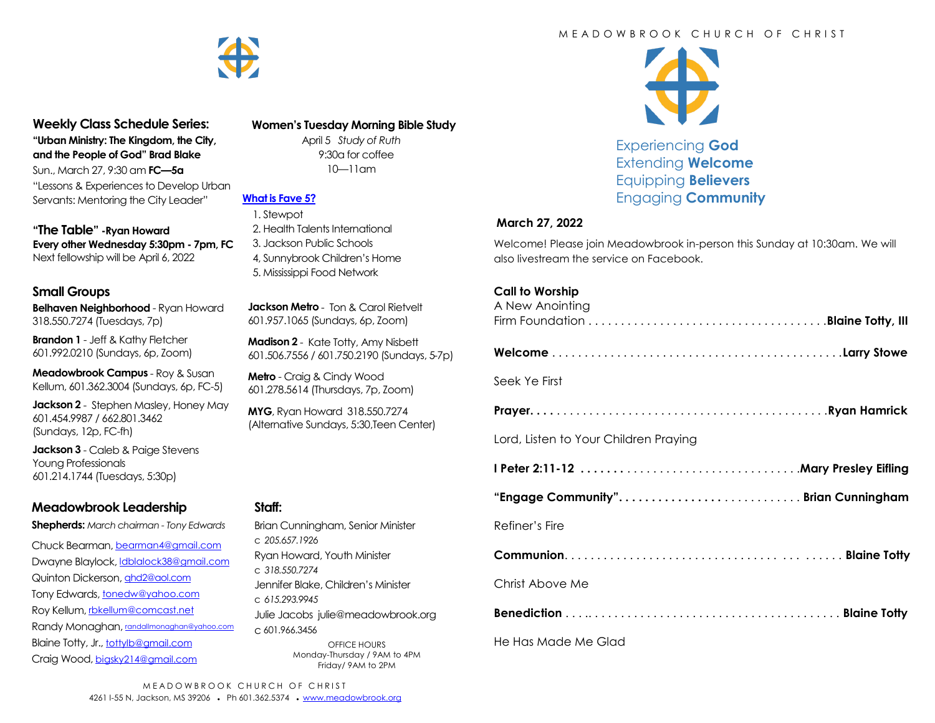

# **Weekly Class Schedule Series:**

**"Urban Ministry: The Kingdom, the City, and the People of God" Brad Blake** Sun., March 27, 9:30 am **FC—5a** "Lessons & Experiences to Develop Urban

Servants: Mentoring the City Leader"

**"The Table" -Ryan Howard Every other Wednesday 5:30pm - 7pm, FC** Next fellowship will be April 6, 2022

#### **Small Groups**

**Belhaven Neighborhood** - Ryan Howard 318.550.7274 (Tuesdays, 7p)

**Brandon 1** - Jeff & Kathy Fletcher 601.992.0210 (Sundays, 6p, Zoom)

**Meadowbrook Campus** - Roy & Susan Kellum, 601.362.3004 (Sundays, 6p, FC-5)

**Jackson 2** - Stephen Masley, Honey May 601.454.9987 / 662.801.3462 (Sundays, 12p, FC-fh)

**Jackson 3** - Caleb & Paige Stevens Young Professionals 601.214.1744 (Tuesdays, 5:30p)

# **Meadowbrook Leadership**

**Shepherds:** *March chairman - Tony Edwards*

Chuck Bearman, [bearman4@gmail.com](mailto:bearman4@gmail.com) Dwayne Blaylock, *dblalock38@gmail.com* Quinton Dickerson, [qhd2@aol.com](mailto:qhd2@aol.com) Tony Edwards, [tonedw@yahoo.com](mailto:tonedw@yahoo.com) Roy Kellum, [rbkellum@comcast.net](mailto:rbkellum@comcast.net) Randy Monaghan, [randallmonaghan@yahoo.com](mailto:randallmonaghan@yahoo.com) Blaine Totty, Jr., [tottylb@gmail.com](mailto:tottylb@gmail.com) Craig Wood, [bigsky214@gmail.com](mailto:bigsky214@gmail.com)

 **Women's Tuesday Morning Bible Study**

April 5 *Study of Ruth*  9:30a for coffee 10—11am

### **[What is Fave 5?](https://meadowbrook.ccbchurch.com/group_detail.php?group_id=131)**

 1. Stewpot 2. Health Talents International 3. Jackson Public Schools 4, Sunnybrook Children's Home 5. Mississippi Food Network

**Jackson Metro** - Ton & Carol Rietvelt 601.957.1065 (Sundays, 6p, Zoom)

**Madison 2** - Kate Totty, Amy Nisbett 601.506.7556 / 601.750.2190 (Sundays, 5-7p)

**Metro** - Craig & Cindy Wood 601.278.5614 (Thursdays, 7p, Zoom)

**MYG**, Ryan Howard 318.550.7274 (Alternative Sundays, 5:30,Teen Center)

#### **Staff:**

Brian Cunningham, Senior Minister c *205.657.1926* Ryan Howard, Youth Minister c *318.550.7274* Jennifer Blake, Children's Minister c *615.293.9945* Julie Jacobs julie@meadowbrook.org c 601.966.3456 OFFICE HOURS Monday-Thursday / 9AM to 4PM Friday/ 9AM to 2PM

#### M F A D O W B R O O K C H U R C H O F C H R I S T



Experiencing **God** Extending **Welcome** Equipping **Believers** Engaging **Community**

#### **March 27, 2022**

Welcome! Please join Meadowbrook in-person this Sunday at 10:30am. We will also livestream the service on Facebook.

### **Call to Worship**

| A New Anointing                       |  |
|---------------------------------------|--|
|                                       |  |
| Seek Ye First                         |  |
|                                       |  |
| Lord, Listen to Your Children Praying |  |
|                                       |  |
|                                       |  |
| Refiner's Fire                        |  |
|                                       |  |
| Christ Above Me                       |  |
|                                       |  |

He Has Made Me Glad